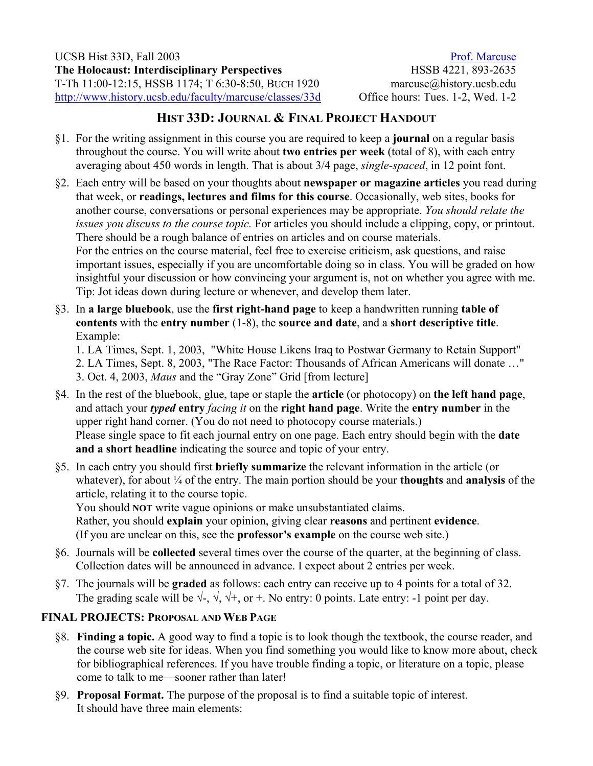[Prof. Marcuse](http://www.history.ucsb.edu/faculty/marcuse/) HSSB 4221, 893-2635 marcuse@history.ucsb.edu Office hours: Tues. 1-2, Wed. 1-2

## **HIST 33D: JOURNAL & FINAL PROJECT HANDOUT**

- §1. For the writing assignment in this course you are required to keep a **journal** on a regular basis throughout the course. You will write about **two entries per week** (total of 8), with each entry averaging about 450 words in length. That is about 3/4 page, *single-spaced*, in 12 point font.
- §2. Each entry will be based on your thoughts about **newspaper or magazine articles** you read during that week, or **readings, lectures and films for this course**. Occasionally, web sites, books for another course, conversations or personal experiences may be appropriate. *You should relate the issues you discuss to the course topic.* For articles you should include a clipping, copy, or printout. There should be a rough balance of entries on articles and on course materials. For the entries on the course material, feel free to exercise criticism, ask questions, and raise important issues, especially if you are uncomfortable doing so in class. You will be graded on how insightful your discussion or how convincing your argument is, not on whether you agree with me. Tip: Jot ideas down during lecture or whenever, and develop them later.
- §3. In **a large bluebook**, use the **first right-hand page** to keep a handwritten running **table of contents** with the **entry number** (1-8), the **source and date**, and a **short descriptive title**. Example:

1. LA Times, Sept. 1, 2003, "White House Likens Iraq to Postwar Germany to Retain Support" 2. LA Times, Sept. 8, 2003, "The Race Factor: Thousands of African Americans will donate …" 3. Oct. 4, 2003, *Maus* and the "Gray Zone" Grid [from lecture]

- §4. In the rest of the bluebook, glue, tape or staple the **article** (or photocopy) on **the left hand page**, and attach your *typed* **entry** *facing it* on the **right hand page**. Write the **entry number** in the upper right hand corner. (You do not need to photocopy course materials.) Please single space to fit each journal entry on one page. Each entry should begin with the **date and a short headline** indicating the source and topic of your entry.
- §5. In each entry you should first **briefly summarize** the relevant information in the article (or whatever), for about ¼ of the entry. The main portion should be your **thoughts** and **analysis** of the article, relating it to the course topic.

You should **NOT** write vague opinions or make unsubstantiated claims. Rather, you should **explain** your opinion, giving clear **reasons** and pertinent **evidence**. (If you are unclear on this, see the **professor's example** on the course web site.)

- §6. Journals will be **collected** several times over the course of the quarter, at the beginning of class. Collection dates will be announced in advance. I expect about 2 entries per week.
- §7. The journals will be **graded** as follows: each entry can receive up to 4 points for a total of 32. The grading scale will be  $\sqrt{\sqrt{2}}$ ,  $\sqrt{\sqrt{2}}$ , or +. No entry: 0 points. Late entry: -1 point per day.

## **FINAL PROJECTS: PROPOSAL AND WEB PAGE**

- §8. **Finding a topic.** A good way to find a topic is to look though the textbook, the course reader, and the course web site for ideas. When you find something you would like to know more about, check for bibliographical references. If you have trouble finding a topic, or literature on a topic, please come to talk to me—sooner rather than later!
- §9. **Proposal Format.** The purpose of the proposal is to find a suitable topic of interest. It should have three main elements: